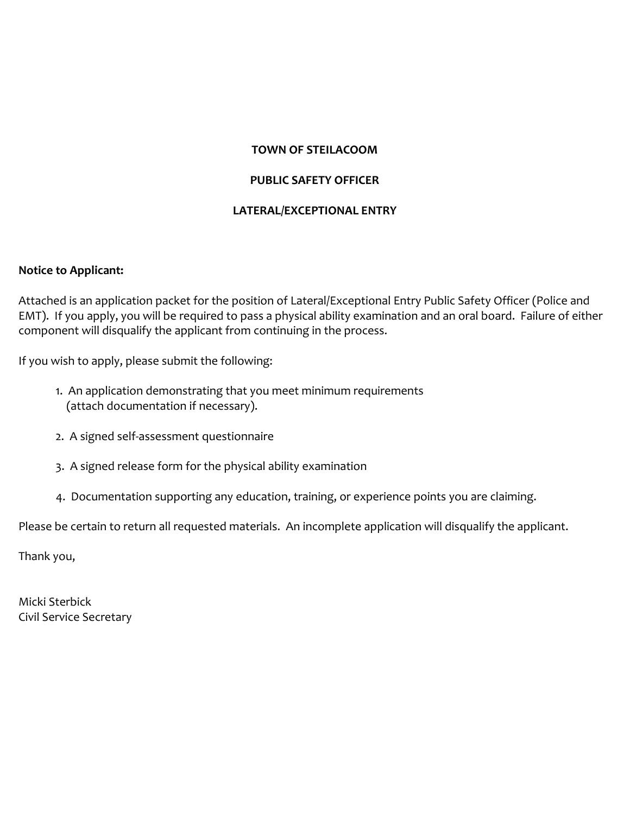## **TOWN OF STEILACOOM**

## **PUBLIC SAFETY OFFICER**

### **LATERAL/EXCEPTIONAL ENTRY**

### **Notice to Applicant:**

Attached is an application packet for the position of Lateral/Exceptional Entry Public Safety Officer (Police and EMT). If you apply, you will be required to pass a physical ability examination and an oral board. Failure of either component will disqualify the applicant from continuing in the process.

If you wish to apply, please submit the following:

- 1. An application demonstrating that you meet minimum requirements (attach documentation if necessary).
- 2. A signed self-assessment questionnaire
- 3. A signed release form for the physical ability examination
- 4. Documentation supporting any education, training, or experience points you are claiming.

Please be certain to return all requested materials. An incomplete application will disqualify the applicant.

Thank you,

Micki Sterbick Civil Service Secretary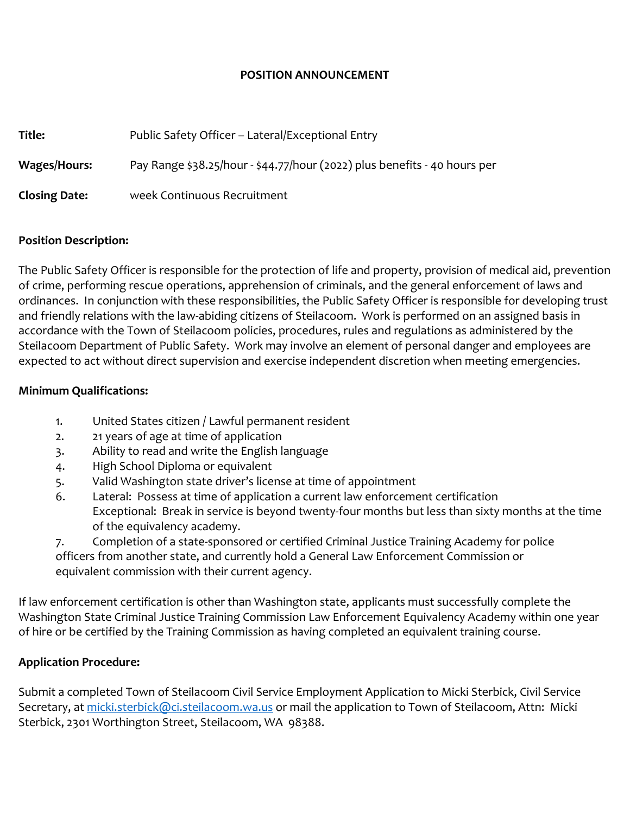### **POSITION ANNOUNCEMENT**

| Title:               | Public Safety Officer - Lateral/Exceptional Entry                         |  |  |
|----------------------|---------------------------------------------------------------------------|--|--|
| Wages/Hours:         | Pay Range \$38.25/hour - \$44.77/hour (2022) plus benefits - 40 hours per |  |  |
| <b>Closing Date:</b> | week Continuous Recruitment                                               |  |  |

### **Position Description:**

The Public Safety Officer is responsible for the protection of life and property, provision of medical aid, prevention of crime, performing rescue operations, apprehension of criminals, and the general enforcement of laws and ordinances. In conjunction with these responsibilities, the Public Safety Officer is responsible for developing trust and friendly relations with the law-abiding citizens of Steilacoom. Work is performed on an assigned basis in accordance with the Town of Steilacoom policies, procedures, rules and regulations as administered by the Steilacoom Department of Public Safety. Work may involve an element of personal danger and employees are expected to act without direct supervision and exercise independent discretion when meeting emergencies.

### **Minimum Qualifications:**

- 1. United States citizen / Lawful permanent resident
- 2. 21 years of age at time of application
- 3. Ability to read and write the English language
- 4. High School Diploma or equivalent
- 5. Valid Washington state driver's license at time of appointment
- 6. Lateral: Possess at time of application a current law enforcement certification Exceptional: Break in service is beyond twenty-four months but less than sixty months at the time of the equivalency academy.

7. Completion of a state-sponsored or certified Criminal Justice Training Academy for police officers from another state, and currently hold a General Law Enforcement Commission or equivalent commission with their current agency.

If law enforcement certification is other than Washington state, applicants must successfully complete the Washington State Criminal Justice Training Commission Law Enforcement Equivalency Academy within one year of hire or be certified by the Training Commission as having completed an equivalent training course.

## **Application Procedure:**

Submit a completed Town of Steilacoom Civil Service Employment Application to Micki Sterbick, Civil Service Secretary, at [micki.sterbick@ci.steilacoom.wa.us](mailto:micki.sterbick@ci.steilacoom.wa.us) or mail the application to Town of Steilacoom, Attn: Micki Sterbick, 2301 Worthington Street, Steilacoom, WA 98388.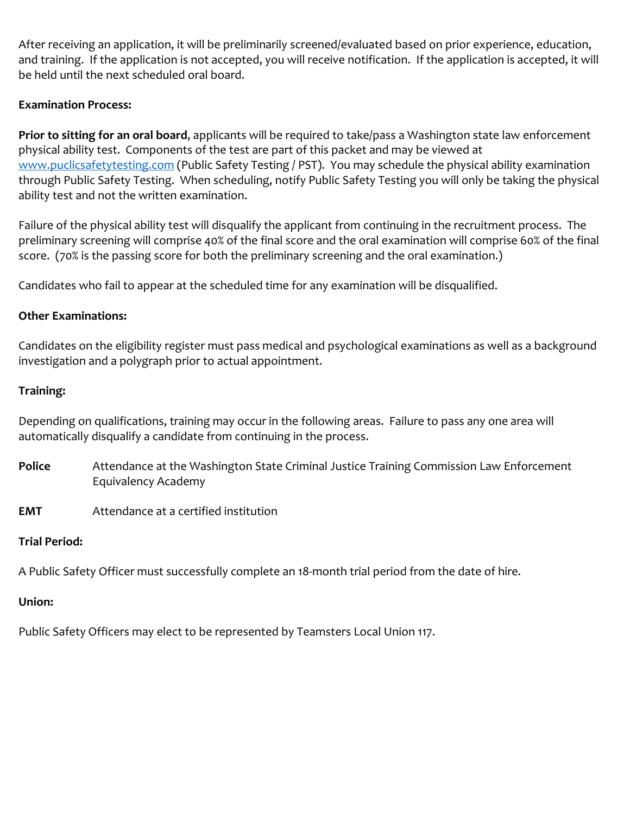After receiving an application, it will be preliminarily screened/evaluated based on prior experience, education, and training. If the application is not accepted, you will receive notification. If the application is accepted, it will be held until the next scheduled oral board.

# **Examination Process:**

**Prior to sitting for an oral board**, applicants will be required to take/pass a Washington state law enforcement physical ability test. Components of the test are part of this packet and may be viewed at [www.puclicsafetytesting.com](http://www.puclicsafetytesting.com/) (Public Safety Testing / PST). You may schedule the physical ability examination through Public Safety Testing. When scheduling, notify Public Safety Testing you will only be taking the physical ability test and not the written examination.

Failure of the physical ability test will disqualify the applicant from continuing in the recruitment process. The preliminary screening will comprise 40% of the final score and the oral examination will comprise 60% of the final score. (70% is the passing score for both the preliminary screening and the oral examination.)

Candidates who fail to appear at the scheduled time for any examination will be disqualified.

## **Other Examinations:**

Candidates on the eligibility register must pass medical and psychological examinations as well as a background investigation and a polygraph prior to actual appointment.

## **Training:**

Depending on qualifications, training may occur in the following areas. Failure to pass any one area will automatically disqualify a candidate from continuing in the process.

- **Police** Attendance at the Washington State Criminal Justice Training Commission Law Enforcement Equivalency Academy
- **EMT** Attendance at a certified institution

## **Trial Period:**

A Public Safety Officer must successfully complete an 18-month trial period from the date of hire.

# **Union:**

Public Safety Officers may elect to be represented by Teamsters Local Union 117.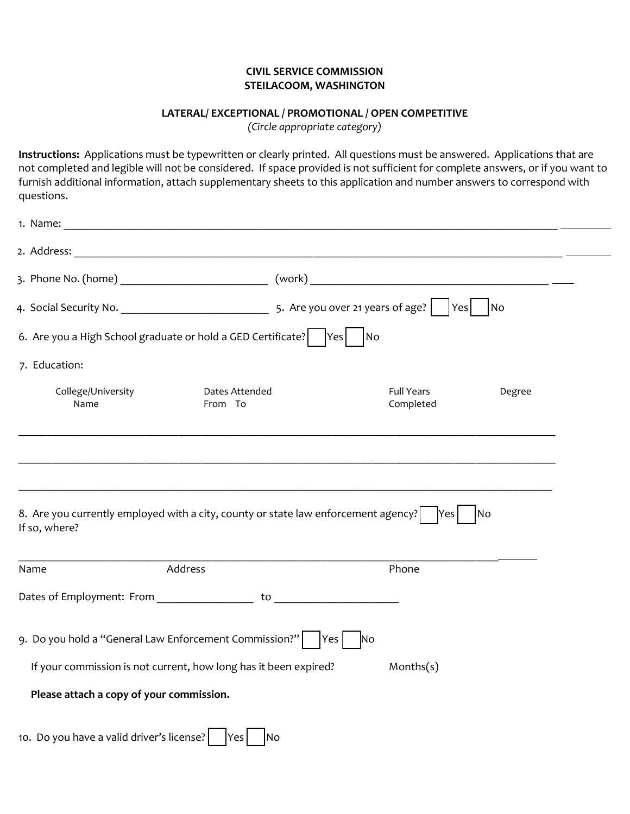#### **CIVIL SERVICE COMMISSION STEILACOOM, WASHINGTON**

#### **LATERAL/ EXCEPTIONAL / PROMOTIONAL / OPEN COMPETITIVE**

*(Circle appropriate category)*

**Instructions:** Applications must be typewritten or clearly printed. All questions must be answered. Applications that are not completed and legible will not be considered. If space provided is not sufficient for complete answers, or if you want to furnish additional information, attach supplementary sheets to this application and number answers to correspond with questions.

| 1. Name:                                               | <u> 2000 - Jan James James Barnett, amerikan bahasa (j. 1878)</u>                  |                                |        |  |
|--------------------------------------------------------|------------------------------------------------------------------------------------|--------------------------------|--------|--|
|                                                        |                                                                                    |                                |        |  |
|                                                        |                                                                                    |                                |        |  |
|                                                        |                                                                                    | Yes                            | No     |  |
|                                                        | 6. Are you a High School graduate or hold a GED Certificate?     Yes               | $\overline{\phantom{a}}$ No    |        |  |
| 7. Education:                                          |                                                                                    |                                |        |  |
| College/University<br>Name                             | Dates Attended<br>From To                                                          | <b>Full Years</b><br>Completed | Degree |  |
| If so, where?                                          | 8. Are you currently employed with a city, county or state law enforcement agency? | Yes                            | lNo    |  |
| Name                                                   | Address                                                                            | Phone                          |        |  |
|                                                        |                                                                                    |                                |        |  |
| 9. Do you hold a "General Law Enforcement Commission?" |                                                                                    | Yes <br><b>No</b>              |        |  |
|                                                        | If your commission is not current, how long has it been expired?                   | Months(s)                      |        |  |
| Please attach a copy of your commission.               |                                                                                    |                                |        |  |
| 10. Do you have a valid driver's license?              | Yes<br><b>No</b>                                                                   |                                |        |  |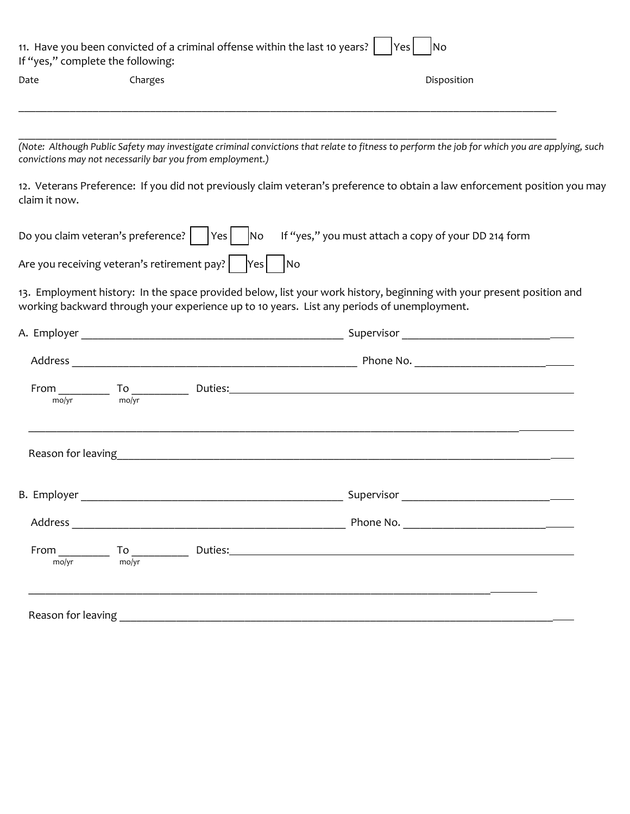| Date          | Charges |                                                                                | Disposition                                                                                                                                                                                                                                                                                                                                                                     |  |
|---------------|---------|--------------------------------------------------------------------------------|---------------------------------------------------------------------------------------------------------------------------------------------------------------------------------------------------------------------------------------------------------------------------------------------------------------------------------------------------------------------------------|--|
|               |         |                                                                                |                                                                                                                                                                                                                                                                                                                                                                                 |  |
|               |         | convictions may not necessarily bar you from employment.)                      | (Note: Although Public Safety may investigate criminal convictions that relate to fitness to perform the job for which you are applying, such                                                                                                                                                                                                                                   |  |
| claim it now. |         |                                                                                | 12. Veterans Preference: If you did not previously claim veteran's preference to obtain a law enforcement position you may                                                                                                                                                                                                                                                      |  |
|               |         |                                                                                | Do you claim veteran's preference? $\begin{vmatrix} \frac{1}{1} & \frac{1}{1} & \frac{1}{1} & \frac{1}{1} & \frac{1}{1} & \frac{1}{1} & \frac{1}{1} & \frac{1}{1} & \frac{1}{1} & \frac{1}{1} & \frac{1}{1} & \frac{1}{1} & \frac{1}{1} & \frac{1}{1} & \frac{1}{1} & \frac{1}{1} & \frac{1}{1} & \frac{1}{1} & \frac{1}{1} & \frac{1}{1} & \frac{1}{1} & \frac{1}{1} & \frac{$ |  |
|               |         | Are you receiving veteran's retirement pay?   $\left  \text{Yes} \right $   No |                                                                                                                                                                                                                                                                                                                                                                                 |  |
|               |         |                                                                                | 13. Employment history: In the space provided below, list your work history, beginning with your present position and<br>working backward through your experience up to 10 years. List any periods of unemployment.                                                                                                                                                             |  |
|               |         |                                                                                |                                                                                                                                                                                                                                                                                                                                                                                 |  |
|               |         |                                                                                |                                                                                                                                                                                                                                                                                                                                                                                 |  |
|               |         |                                                                                | From $_{\text{mo/yr}}$ To $_{\text{mo/yr}}$ Duties: $_{\text{mo/yr}}$ Duties:                                                                                                                                                                                                                                                                                                   |  |
|               |         |                                                                                |                                                                                                                                                                                                                                                                                                                                                                                 |  |
|               |         |                                                                                | Reason for leaving the contract of the contract of the contract of the contract of the contract of the contract of the contract of the contract of the contract of the contract of the contract of the contract of the contrac                                                                                                                                                  |  |
| B. Employer   |         |                                                                                |                                                                                                                                                                                                                                                                                                                                                                                 |  |
|               |         |                                                                                |                                                                                                                                                                                                                                                                                                                                                                                 |  |
|               |         |                                                                                |                                                                                                                                                                                                                                                                                                                                                                                 |  |
| mo/vr         | mo/yr   |                                                                                |                                                                                                                                                                                                                                                                                                                                                                                 |  |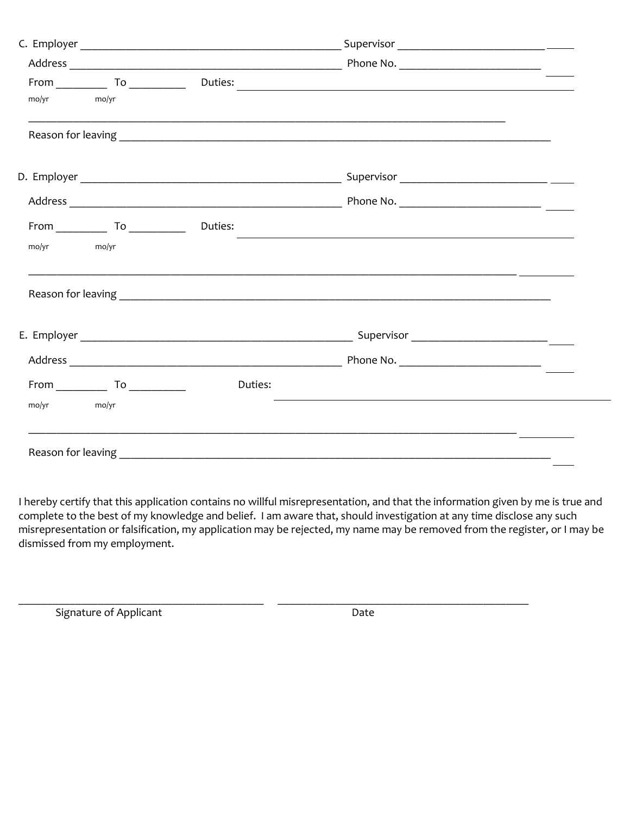| $\text{mol} \text{yr}$<br>mo/yr |         |                                                                                                                        |  |
|---------------------------------|---------|------------------------------------------------------------------------------------------------------------------------|--|
|                                 |         |                                                                                                                        |  |
|                                 |         |                                                                                                                        |  |
|                                 |         |                                                                                                                        |  |
| $From$ $To$ $To$                | Duties: | <u> 1999 - Johann John Stoff, deutscher Stoffen und der Stoffen und der Stoffen und der Stoffen und der Stoffen un</u> |  |
| mo/yr<br>$\text{mo/yr}$         |         |                                                                                                                        |  |
|                                 |         |                                                                                                                        |  |
|                                 |         |                                                                                                                        |  |
|                                 |         |                                                                                                                        |  |
| $From \_\_ To \_\_$             | Duties: |                                                                                                                        |  |
| mo/yr<br>mo/yr                  |         |                                                                                                                        |  |
|                                 |         |                                                                                                                        |  |

I hereby certify that this application contains no willful misrepresentation, and that the information given by me is true and complete to the best of my knowledge and belief. I am aware that, should investigation at any time disclose any such misrepresentation or falsification, my application may be rejected, my name may be removed from the register, or I may be dismissed from my employment.

\_\_\_\_\_\_\_\_\_\_\_\_\_\_\_\_\_\_\_\_\_\_\_\_\_\_\_\_\_\_\_\_\_\_\_\_\_\_\_\_\_\_\_ \_\_\_\_\_\_\_\_\_\_\_\_\_\_\_\_\_\_\_\_\_\_\_\_\_\_\_\_\_\_\_\_\_\_\_\_\_\_\_\_\_\_\_\_

Signature of Applicant Date Date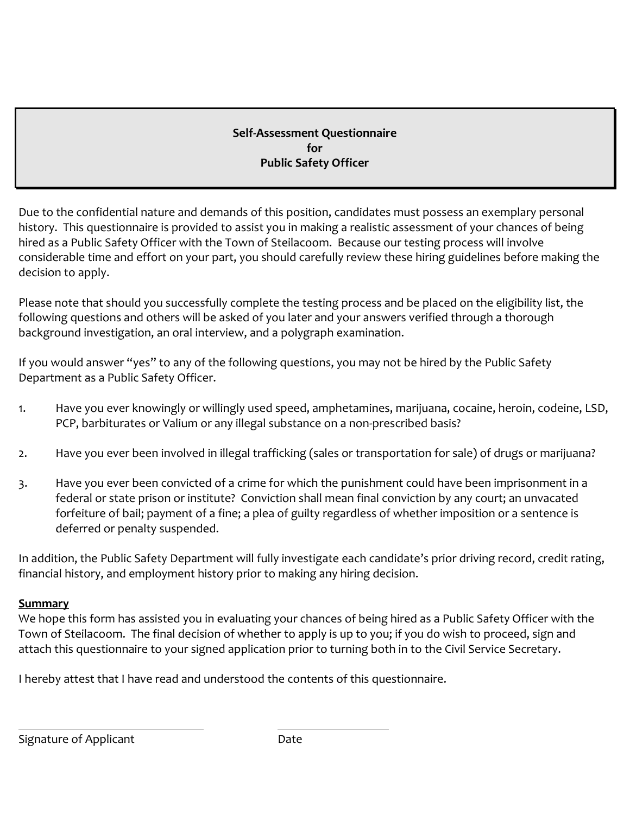# **Self-Assessment Questionnaire for Public Safety Officer**

Due to the confidential nature and demands of this position, candidates must possess an exemplary personal history. This questionnaire is provided to assist you in making a realistic assessment of your chances of being hired as a Public Safety Officer with the Town of Steilacoom. Because our testing process will involve considerable time and effort on your part, you should carefully review these hiring guidelines before making the decision to apply.

Please note that should you successfully complete the testing process and be placed on the eligibility list, the following questions and others will be asked of you later and your answers verified through a thorough background investigation, an oral interview, and a polygraph examination.

If you would answer "yes" to any of the following questions, you may not be hired by the Public Safety Department as a Public Safety Officer.

- 1. Have you ever knowingly or willingly used speed, amphetamines, marijuana, cocaine, heroin, codeine, LSD, PCP, barbiturates or Valium or any illegal substance on a non-prescribed basis?
- 2. Have you ever been involved in illegal trafficking (sales or transportation for sale) of drugs or marijuana?
- 3. Have you ever been convicted of a crime for which the punishment could have been imprisonment in a federal or state prison or institute? Conviction shall mean final conviction by any court; an unvacated forfeiture of bail; payment of a fine; a plea of guilty regardless of whether imposition or a sentence is deferred or penalty suspended.

In addition, the Public Safety Department will fully investigate each candidate's prior driving record, credit rating, financial history, and employment history prior to making any hiring decision.

## **Summary**

We hope this form has assisted you in evaluating your chances of being hired as a Public Safety Officer with the Town of Steilacoom. The final decision of whether to apply is up to you; if you do wish to proceed, sign and attach this questionnaire to your signed application prior to turning both in to the Civil Service Secretary.

I hereby attest that I have read and understood the contents of this questionnaire.

Signature of Applicant **Date** Date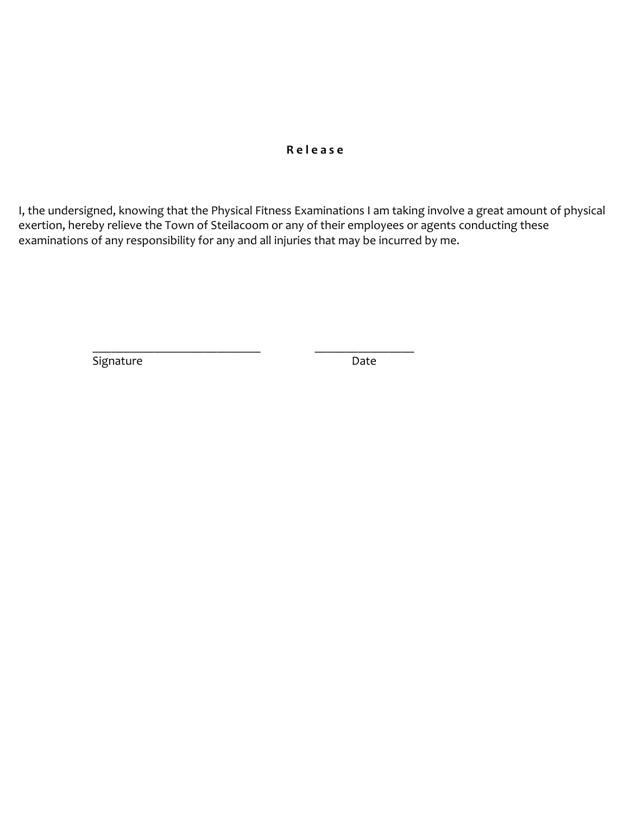## **R e l e a s e**

I, the undersigned, knowing that the Physical Fitness Examinations I am taking involve a great amount of physical exertion, hereby relieve the Town of Steilacoom or any of their employees or agents conducting these examinations of any responsibility for any and all injuries that may be incurred by me.

Signature Date Date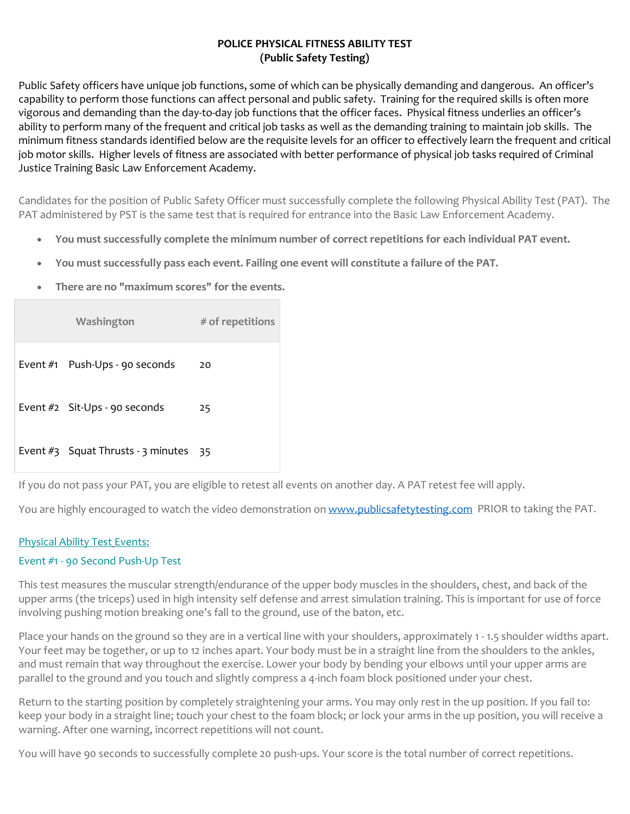### **POLICE PHYSICAL FITNESS ABILITY TEST (Public Safety Testing)**

Public Safety officers have unique job functions, some of which can be physically demanding and dangerous. An officer's capability to perform those functions can affect personal and public safety. Training for the required skills is often more vigorous and demanding than the day-to-day job functions that the officer faces. Physical fitness underlies an officer's ability to perform many of the frequent and critical job tasks as well as the demanding training to maintain job skills. The minimum fitness standards identified below are the requisite levels for an officer to effectively learn the frequent and critical job motor skills. Higher levels of fitness are associated with better performance of physical job tasks required of Criminal Justice Training Basic Law Enforcement Academy.

Candidates for the position of Public Safety Officer must successfully complete the following Physical Ability Test (PAT). The PAT administered by PST is the same test that is required for entrance into the Basic Law Enforcement Academy.

- **You must successfully complete the minimum number of correct repetitions for each individual PAT event.**
- **You must successfully pass each event. Failing one event will constitute a failure of the PAT.**
- **There are no "maximum scores" for the events.**

| Washington                              | $#$ of repetitions |
|-----------------------------------------|--------------------|
| Event #1 Push-Ups - 90 seconds          | 20                 |
| Event #2 Sit-Ups - 90 seconds           | 25                 |
| Event $#3$ Squat Thrusts - 3 minutes 35 |                    |

If you do not pass your PAT, you are eligible to retest all events on another day. A PAT retest fee will apply.

You are highly encouraged to watch the video demonstration o[n www.publicsafetytesting.com](http://www.publicsafetytesting.com/) PRIOR to taking the PAT.

### Physical Ability Test Events:

### Event #1 - 90 Second Push-Up Test

This test measures the muscular strength/endurance of the upper body muscles in the shoulders, chest, and back of the upper arms (the triceps) used in high intensity self defense and arrest simulation training. This is important for use of force involving pushing motion breaking one's fall to the ground, use of the baton, etc.

Place your hands on the ground so they are in a vertical line with your shoulders, approximately 1 - 1.5 shoulder widths apart. Your feet may be together, or up to 12 inches apart. Your body must be in a straight line from the shoulders to the ankles, and must remain that way throughout the exercise. Lower your body by bending your elbows until your upper arms are parallel to the ground and you touch and slightly compress a 4-inch foam block positioned under your chest.

Return to the starting position by completely straightening your arms. You may only rest in the up position. If you fail to: keep your body in a straight line; touch your chest to the foam block; or lock your arms in the up position, you will receive a warning. After one warning, incorrect repetitions will not count.

You will have 90 seconds to successfully complete 20 push-ups. Your score is the total number of correct repetitions.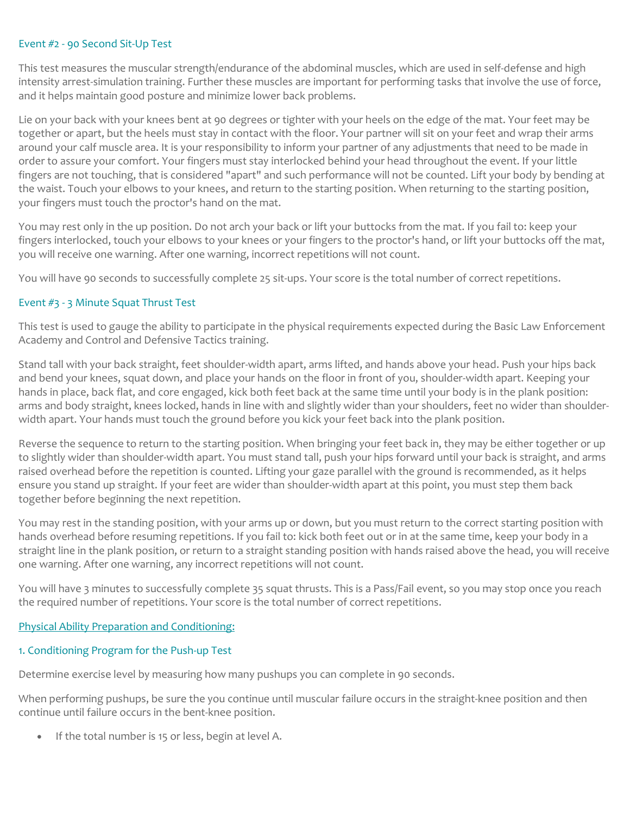#### Event #2 - 90 Second Sit-Up Test

This test measures the muscular strength/endurance of the abdominal muscles, which are used in self-defense and high intensity arrest-simulation training. Further these muscles are important for performing tasks that involve the use of force, and it helps maintain good posture and minimize lower back problems.

Lie on your back with your knees bent at 90 degrees or tighter with your heels on the edge of the mat. Your feet may be together or apart, but the heels must stay in contact with the floor. Your partner will sit on your feet and wrap their arms around your calf muscle area. It is your responsibility to inform your partner of any adjustments that need to be made in order to assure your comfort. Your fingers must stay interlocked behind your head throughout the event. If your little fingers are not touching, that is considered "apart" and such performance will not be counted. Lift your body by bending at the waist. Touch your elbows to your knees, and return to the starting position. When returning to the starting position, your fingers must touch the proctor's hand on the mat.

You may rest only in the up position. Do not arch your back or lift your buttocks from the mat. If you fail to: keep your fingers interlocked, touch your elbows to your knees or your fingers to the proctor's hand, or lift your buttocks off the mat, you will receive one warning. After one warning, incorrect repetitions will not count.

You will have 90 seconds to successfully complete 25 sit-ups. Your score is the total number of correct repetitions.

#### Event #3 - 3 Minute Squat Thrust Test

This test is used to gauge the ability to participate in the physical requirements expected during the Basic Law Enforcement Academy and Control and Defensive Tactics training.

Stand tall with your back straight, feet shoulder-width apart, arms lifted, and hands above your head. Push your hips back and bend your knees, squat down, and place your hands on the floor in front of you, shoulder-width apart. Keeping your hands in place, back flat, and core engaged, kick both feet back at the same time until your body is in the plank position: arms and body straight, knees locked, hands in line with and slightly wider than your shoulders, feet no wider than shoulderwidth apart. Your hands must touch the ground before you kick your feet back into the plank position.

Reverse the sequence to return to the starting position. When bringing your feet back in, they may be either together or up to slightly wider than shoulder-width apart. You must stand tall, push your hips forward until your back is straight, and arms raised overhead before the repetition is counted. Lifting your gaze parallel with the ground is recommended, as it helps ensure you stand up straight. If your feet are wider than shoulder-width apart at this point, you must step them back together before beginning the next repetition.

You may rest in the standing position, with your arms up or down, but you must return to the correct starting position with hands overhead before resuming repetitions. If you fail to: kick both feet out or in at the same time, keep your body in a straight line in the plank position, or return to a straight standing position with hands raised above the head, you will receive one warning. After one warning, any incorrect repetitions will not count.

You will have 3 minutes to successfully complete 35 squat thrusts. This is a Pass/Fail event, so you may stop once you reach the required number of repetitions. Your score is the total number of correct repetitions.

#### Physical Ability Preparation and Conditioning:

#### 1. Conditioning Program for the Push-up Test

Determine exercise level by measuring how many pushups you can complete in 90 seconds.

When performing pushups, be sure the you continue until muscular failure occurs in the straight-knee position and then continue until failure occurs in the bent-knee position.

If the total number is 15 or less, begin at level A.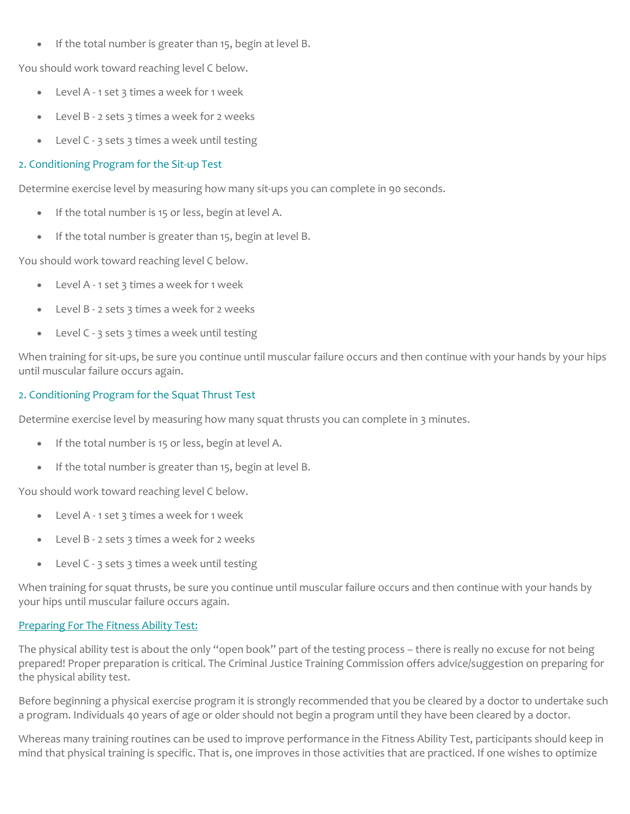• If the total number is greater than 15, begin at level B.

You should work toward reaching level C below.

- Level A 1 set 3 times a week for 1 week
- Level B 2 sets 3 times a week for 2 weeks
- Level C 3 sets 3 times a week until testing

#### 2. Conditioning Program for the Sit-up Test

Determine exercise level by measuring how many sit-ups you can complete in 90 seconds.

- If the total number is 15 or less, begin at level A.
- If the total number is greater than 15, begin at level B.

You should work toward reaching level C below.

- Level A 1 set 3 times a week for 1 week
- Level B 2 sets 3 times a week for 2 weeks
- Level C 3 sets 3 times a week until testing

When training for sit-ups, be sure you continue until muscular failure occurs and then continue with your hands by your hips until muscular failure occurs again.

### 2. Conditioning Program for the Squat Thrust Test

Determine exercise level by measuring how many squat thrusts you can complete in 3 minutes.

- If the total number is 15 or less, begin at level A.
- If the total number is greater than 15, begin at level B.

You should work toward reaching level C below.

- Level A 1 set 3 times a week for 1 week
- Level B 2 sets 3 times a week for 2 weeks
- Level C 3 sets 3 times a week until testing

When training for squat thrusts, be sure you continue until muscular failure occurs and then continue with your hands by your hips until muscular failure occurs again.

#### Preparing For The Fitness Ability Test:

The physical ability test is about the only "open book" part of the testing process – there is really no excuse for not being prepared! Proper preparation is critical. The Criminal Justice Training Commission offers advice/suggestion on preparing for the physical ability test.

Before beginning a physical exercise program it is strongly recommended that you be cleared by a doctor to undertake such a program. Individuals 40 years of age or older should not begin a program until they have been cleared by a doctor.

Whereas many training routines can be used to improve performance in the Fitness Ability Test, participants should keep in mind that physical training is specific. That is, one improves in those activities that are practiced. If one wishes to optimize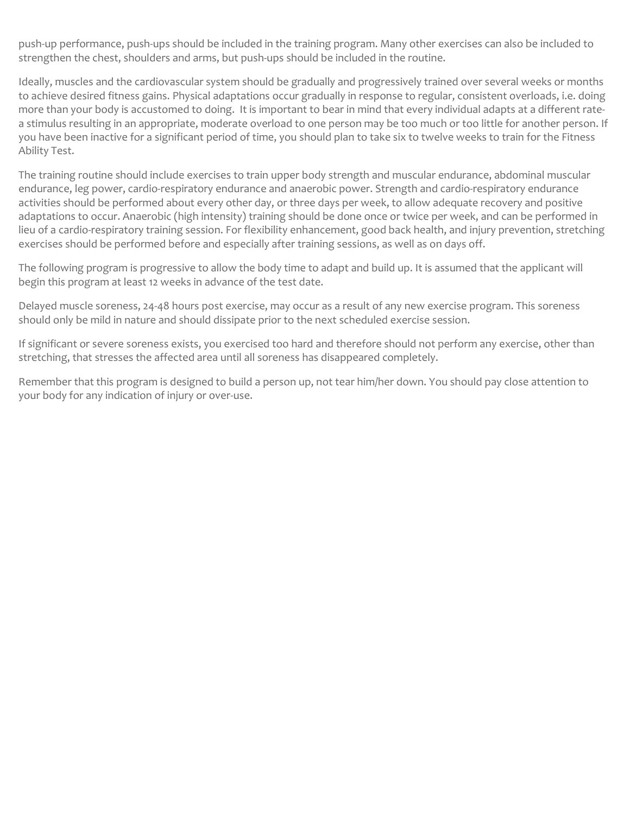push-up performance, push-ups should be included in the training program. Many other exercises can also be included to strengthen the chest, shoulders and arms, but push-ups should be included in the routine.

Ideally, muscles and the cardiovascular system should be gradually and progressively trained over several weeks or months to achieve desired fitness gains. Physical adaptations occur gradually in response to regular, consistent overloads, i.e. doing more than your body is accustomed to doing. It is important to bear in mind that every individual adapts at a different ratea stimulus resulting in an appropriate, moderate overload to one person may be too much or too little for another person. If you have been inactive for a significant period of time, you should plan to take six to twelve weeks to train for the Fitness Ability Test.

The training routine should include exercises to train upper body strength and muscular endurance, abdominal muscular endurance, leg power, cardio-respiratory endurance and anaerobic power. Strength and cardio-respiratory endurance activities should be performed about every other day, or three days per week, to allow adequate recovery and positive adaptations to occur. Anaerobic (high intensity) training should be done once or twice per week, and can be performed in lieu of a cardio-respiratory training session. For flexibility enhancement, good back health, and injury prevention, stretching exercises should be performed before and especially after training sessions, as well as on days off.

The following program is progressive to allow the body time to adapt and build up. It is assumed that the applicant will begin this program at least 12 weeks in advance of the test date.

Delayed muscle soreness, 24-48 hours post exercise, may occur as a result of any new exercise program. This soreness should only be mild in nature and should dissipate prior to the next scheduled exercise session.

If significant or severe soreness exists, you exercised too hard and therefore should not perform any exercise, other than stretching, that stresses the affected area until all soreness has disappeared completely.

Remember that this program is designed to build a person up, not tear him/her down. You should pay close attention to your body for any indication of injury or over-use.